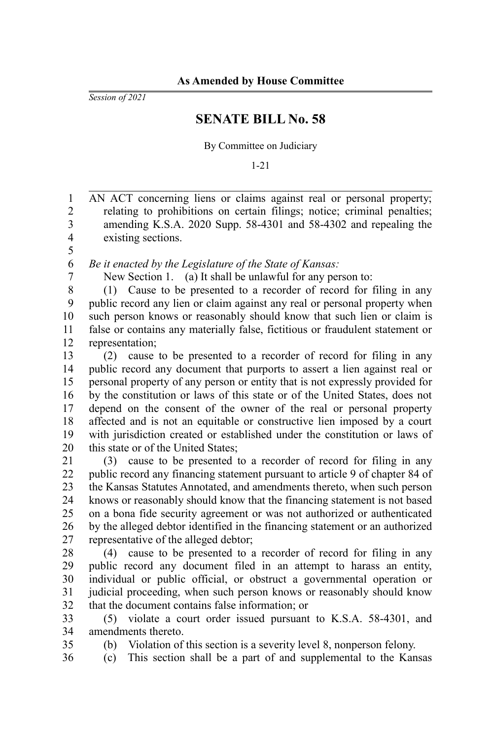*Session of 2021*

## **SENATE BILL No. 58**

By Committee on Judiciary

1-21

AN ACT concerning liens or claims against real or personal property; relating to prohibitions on certain filings; notice; criminal penalties; amending K.S.A. 2020 Supp. 58-4301 and 58-4302 and repealing the existing sections. 1 2 3 4

*Be it enacted by the Legislature of the State of Kansas:*

6 7 8

35 36

5

New Section 1. (a) It shall be unlawful for any person to: (1) Cause to be presented to a recorder of record for filing in any public record any lien or claim against any real or personal property when

such person knows or reasonably should know that such lien or claim is false or contains any materially false, fictitious or fraudulent statement or representation; 9 10 11 12

(2) cause to be presented to a recorder of record for filing in any public record any document that purports to assert a lien against real or personal property of any person or entity that is not expressly provided for by the constitution or laws of this state or of the United States, does not depend on the consent of the owner of the real or personal property affected and is not an equitable or constructive lien imposed by a court with jurisdiction created or established under the constitution or laws of this state or of the United States; 13 14 15 16 17 18 19 20

(3) cause to be presented to a recorder of record for filing in any public record any financing statement pursuant to article 9 of chapter 84 of the Kansas Statutes Annotated, and amendments thereto, when such person knows or reasonably should know that the financing statement is not based on a bona fide security agreement or was not authorized or authenticated by the alleged debtor identified in the financing statement or an authorized representative of the alleged debtor; 21 22 23 24 25 26 27

(4) cause to be presented to a recorder of record for filing in any public record any document filed in an attempt to harass an entity, individual or public official, or obstruct a governmental operation or judicial proceeding, when such person knows or reasonably should know that the document contains false information; or 28 29 30 31 32

(5) violate a court order issued pursuant to K.S.A. 58-4301, and amendments thereto. 33 34

(b) Violation of this section is a severity level 8, nonperson felony.

(c) This section shall be a part of and supplemental to the Kansas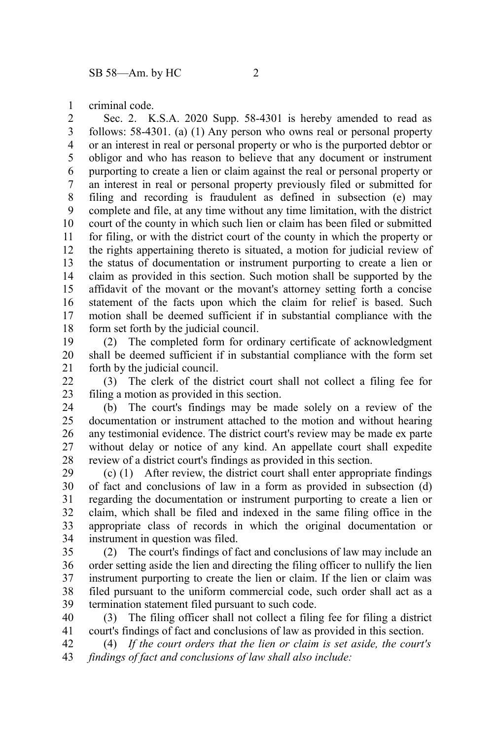criminal code. 1

Sec. 2. K.S.A. 2020 Supp. 58-4301 is hereby amended to read as follows: 58-4301. (a) (1) Any person who owns real or personal property or an interest in real or personal property or who is the purported debtor or obligor and who has reason to believe that any document or instrument purporting to create a lien or claim against the real or personal property or an interest in real or personal property previously filed or submitted for filing and recording is fraudulent as defined in subsection (e) may complete and file, at any time without any time limitation, with the district court of the county in which such lien or claim has been filed or submitted for filing, or with the district court of the county in which the property or the rights appertaining thereto is situated, a motion for judicial review of the status of documentation or instrument purporting to create a lien or claim as provided in this section. Such motion shall be supported by the affidavit of the movant or the movant's attorney setting forth a concise statement of the facts upon which the claim for relief is based. Such motion shall be deemed sufficient if in substantial compliance with the form set forth by the judicial council. 2 3 4 5 6 7 8 9 10 11 12 13 14 15 16 17 18

(2) The completed form for ordinary certificate of acknowledgment shall be deemed sufficient if in substantial compliance with the form set forth by the judicial council. 19 20 21

(3) The clerk of the district court shall not collect a filing fee for filing a motion as provided in this section. 22 23

(b) The court's findings may be made solely on a review of the documentation or instrument attached to the motion and without hearing any testimonial evidence. The district court's review may be made ex parte without delay or notice of any kind. An appellate court shall expedite review of a district court's findings as provided in this section. 24 25 26 27 28

(c) (1) After review, the district court shall enter appropriate findings of fact and conclusions of law in a form as provided in subsection (d) regarding the documentation or instrument purporting to create a lien or claim, which shall be filed and indexed in the same filing office in the appropriate class of records in which the original documentation or instrument in question was filed. 29 30 31 32 33 34

(2) The court's findings of fact and conclusions of law may include an order setting aside the lien and directing the filing officer to nullify the lien instrument purporting to create the lien or claim. If the lien or claim was filed pursuant to the uniform commercial code, such order shall act as a termination statement filed pursuant to such code. 35 36 37 38 39

(3) The filing officer shall not collect a filing fee for filing a district court's findings of fact and conclusions of law as provided in this section. 40 41

(4) *If the court orders that the lien or claim is set aside, the court's findings of fact and conclusions of law shall also include:* 42 43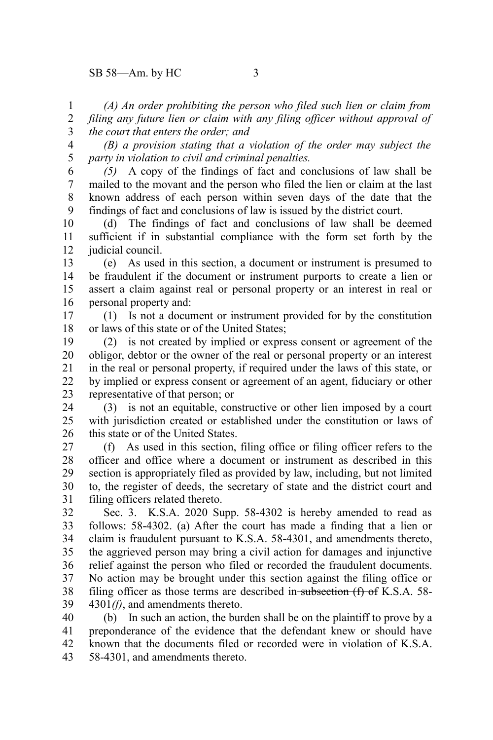*(A) An order prohibiting the person who filed such lien or claim from filing any future lien or claim with any filing officer without approval of the court that enters the order; and* 1 2 3

*(B) a provision stating that a violation of the order may subject the party in violation to civil and criminal penalties.* 4 5

*(5)* A copy of the findings of fact and conclusions of law shall be mailed to the movant and the person who filed the lien or claim at the last known address of each person within seven days of the date that the findings of fact and conclusions of law is issued by the district court. 6 7 8 9

(d) The findings of fact and conclusions of law shall be deemed sufficient if in substantial compliance with the form set forth by the judicial council. 10 11 12

(e) As used in this section, a document or instrument is presumed to be fraudulent if the document or instrument purports to create a lien or assert a claim against real or personal property or an interest in real or personal property and: 13 14 15 16

(1) Is not a document or instrument provided for by the constitution or laws of this state or of the United States; 17 18

(2) is not created by implied or express consent or agreement of the obligor, debtor or the owner of the real or personal property or an interest in the real or personal property, if required under the laws of this state, or by implied or express consent or agreement of an agent, fiduciary or other representative of that person; or 19 20 21 22 23

(3) is not an equitable, constructive or other lien imposed by a court with iurisdiction created or established under the constitution or laws of this state or of the United States. 24 25 26

(f) As used in this section, filing office or filing officer refers to the officer and office where a document or instrument as described in this section is appropriately filed as provided by law, including, but not limited to, the register of deeds, the secretary of state and the district court and filing officers related thereto. 27 28 29 30 31

Sec. 3. K.S.A. 2020 Supp. 58-4302 is hereby amended to read as follows: 58-4302. (a) After the court has made a finding that a lien or claim is fraudulent pursuant to K.S.A. 58-4301, and amendments thereto, the aggrieved person may bring a civil action for damages and injunctive relief against the person who filed or recorded the fraudulent documents. No action may be brought under this section against the filing office or filing officer as those terms are described in subsection  $(f)$  of K.S.A. 58-4301*(f)*, and amendments thereto. 32 33 34 35 36 37 38 39

(b) In such an action, the burden shall be on the plaintiff to prove by a preponderance of the evidence that the defendant knew or should have known that the documents filed or recorded were in violation of K.S.A. 58-4301, and amendments thereto. 40 41 42 43